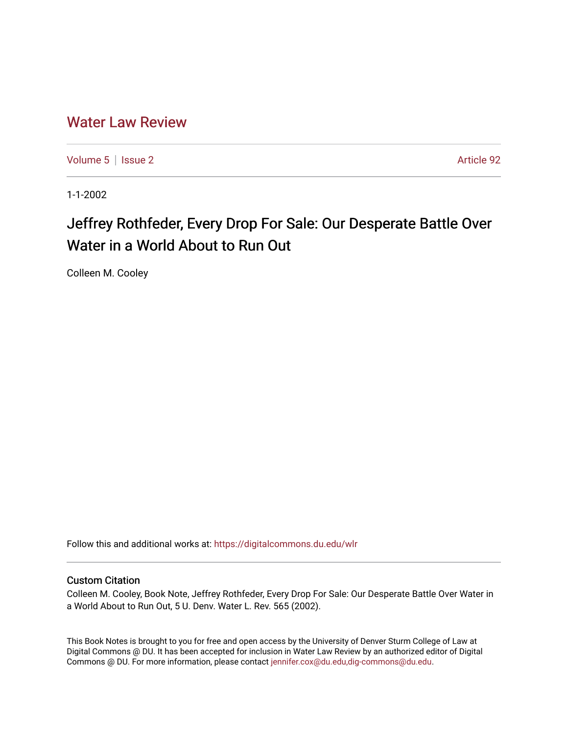## [Water Law Review](https://digitalcommons.du.edu/wlr)

[Volume 5](https://digitalcommons.du.edu/wlr/vol5) | [Issue 2](https://digitalcommons.du.edu/wlr/vol5/iss2) Article 92

1-1-2002

# Jeffrey Rothfeder, Every Drop For Sale: Our Desperate Battle Over Water in a World About to Run Out

Colleen M. Cooley

Follow this and additional works at: [https://digitalcommons.du.edu/wlr](https://digitalcommons.du.edu/wlr?utm_source=digitalcommons.du.edu%2Fwlr%2Fvol5%2Fiss2%2F92&utm_medium=PDF&utm_campaign=PDFCoverPages) 

#### Custom Citation

Colleen M. Cooley, Book Note, Jeffrey Rothfeder, Every Drop For Sale: Our Desperate Battle Over Water in a World About to Run Out, 5 U. Denv. Water L. Rev. 565 (2002).

This Book Notes is brought to you for free and open access by the University of Denver Sturm College of Law at Digital Commons @ DU. It has been accepted for inclusion in Water Law Review by an authorized editor of Digital Commons @ DU. For more information, please contact [jennifer.cox@du.edu,dig-commons@du.edu.](mailto:jennifer.cox@du.edu,dig-commons@du.edu)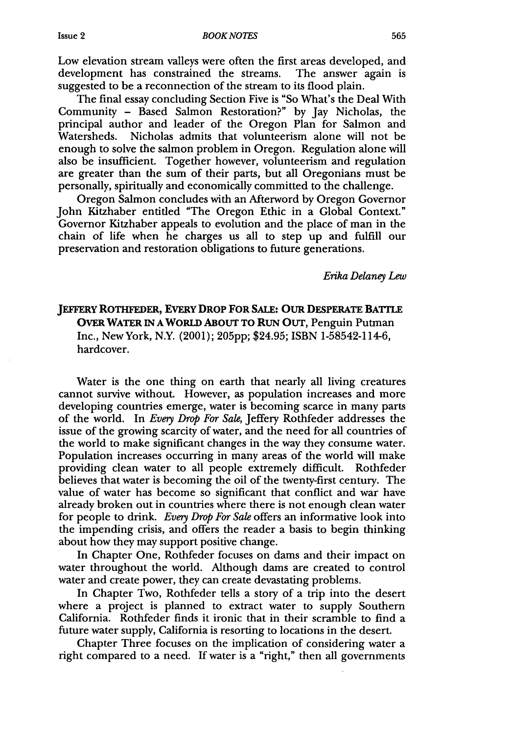Low elevation stream valleys were often the first areas developed, and development has constrained the streams. The answer again is suggested to be a reconnection of the stream to its flood plain.

The final essay concluding Section Five is "So What's the Deal With Community - Based Salmon Restoration?" by Jay Nicholas, the principal author and leader of the Oregon Plan for Salmon and Watersheds. Nicholas admits that volunteerism alone will not be enough to solve the salmon problem in Oregon. Regulation alone will also be insufficient. Together however, volunteerism and regulation are greater than the sum of their parts, but all Oregonians must be personally, spiritually and economically committed to the challenge.

Oregon Salmon concludes with an Afterword by Oregon Governor John Kitzhaber entitled "The Oregon Ethic in a Global Context." Governor Kitzhaber appeals to evolution and the place of man in the chain of life when he charges us all to step up and fulfill our preservation and restoration obligations to future generations.

*Erika Delaney Lew*

### **JEFFERY ROTHFEDER, EVERY DROP FOR SALE: OUR DESPERATE BATTLE OVER WATER IN A WORLD ABOUT TO RUN** OUT, Penguin Putman Inc., New York, N.Y. (2001); **205pp;** \$24.95; **ISBN** 1-58542-114-6, hardcover.

Water is the one thing on earth that nearly all living creatures cannot survive without. However, as population increases and more developing countries emerge, water is becoming scarce in many parts of the world. In *Every Drop For Sale,* Jeffery Rothfeder addresses the issue of the growing scarcity of water, and the need for all countries of the world to make significant changes in the way they consume water. Population increases occurring in many areas of the world will make providing clean water to all people extremely difficult. Rothfeder believes that water is becoming the oil of the twenty-first century. The value of water has become so significant that conflict and war have already broken out in countries where there is not enough clean water for people to drink. *Every Drop For Sale* offers an informative look into the impending crisis, and offers the reader a basis to begin thinking about how they may support positive change.

In Chapter One, Rothfeder focuses on dams and their impact on water throughout the world. Although dams are created to control water and create power, they can create devastating problems.

In Chapter Two, Rothfeder tells a story of a trip into the desert where a project is planned to extract water to supply Southern California. Rothfeder finds it ironic that in their scramble to find a future water supply, California is resorting to locations in the desert.

Chapter Three focuses on the implication of considering water a right compared to a need. If water is a "right," then all governments